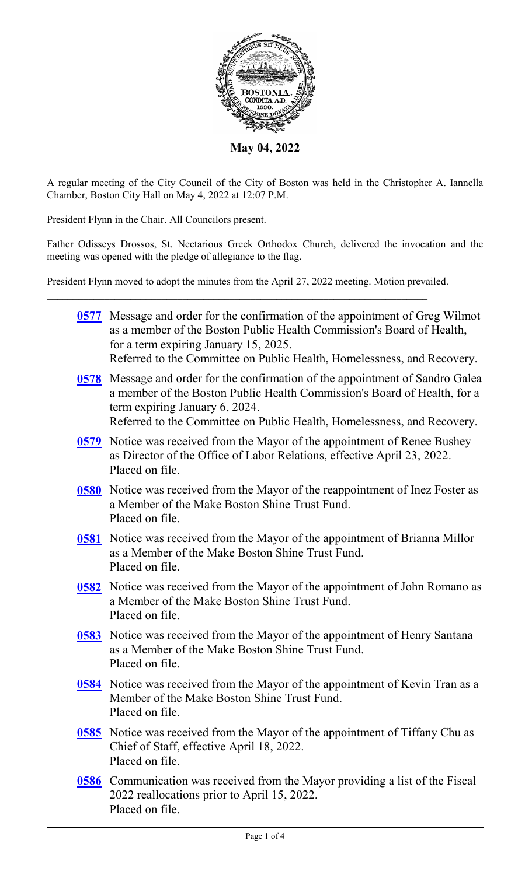

**May 04, 2022**

A regular meeting of the City Council of the City of Boston was held in the Christopher A. Iannella Chamber, Boston City Hall on May 4, 2022 at 12:07 P.M.

President Flynn in the Chair. All Councilors present.

Father Odisseys Drossos, St. Nectarious Greek Orthodox Church, delivered the invocation and the meeting was opened with the pledge of allegiance to the flag.

President Flynn moved to adopt the minutes from the April 27, 2022 meeting. Motion prevailed.

|             | 0577 Message and order for the confirmation of the appointment of Greg Wilmot<br>as a member of the Boston Public Health Commission's Board of Health,<br>for a term expiring January 15, 2025.<br>Referred to the Committee on Public Health, Homelessness, and Recovery. |
|-------------|----------------------------------------------------------------------------------------------------------------------------------------------------------------------------------------------------------------------------------------------------------------------------|
| 0578        | Message and order for the confirmation of the appointment of Sandro Galea<br>a member of the Boston Public Health Commission's Board of Health, for a<br>term expiring January 6, 2024.<br>Referred to the Committee on Public Health, Homelessness, and Recovery.         |
| <u>0579</u> | Notice was received from the Mayor of the appointment of Renee Bushey<br>as Director of the Office of Labor Relations, effective April 23, 2022.<br>Placed on file.                                                                                                        |
| $0580$      | Notice was received from the Mayor of the reappointment of Inez Foster as<br>a Member of the Make Boston Shine Trust Fund.<br>Placed on file.                                                                                                                              |
| <u>0581</u> | Notice was received from the Mayor of the appointment of Brianna Millor<br>as a Member of the Make Boston Shine Trust Fund.<br>Placed on file.                                                                                                                             |
| 0582        | Notice was received from the Mayor of the appointment of John Romano as<br>a Member of the Make Boston Shine Trust Fund.<br>Placed on file.                                                                                                                                |
| 0583        | Notice was received from the Mayor of the appointment of Henry Santana<br>as a Member of the Make Boston Shine Trust Fund.<br>Placed on file.                                                                                                                              |
| 0584        | Notice was received from the Mayor of the appointment of Kevin Tran as a<br>Member of the Make Boston Shine Trust Fund<br>Placed on file.                                                                                                                                  |
|             | 0585 Notice was received from the Mayor of the appointment of Tiffany Chu as<br>Chief of Staff, effective April 18, 2022.<br>Placed on file.                                                                                                                               |
|             | <b>0586</b> Communication was received from the Mayor providing a list of the Fiscal<br>2022 reallocations prior to April 15, 2022.<br>Placed on file.                                                                                                                     |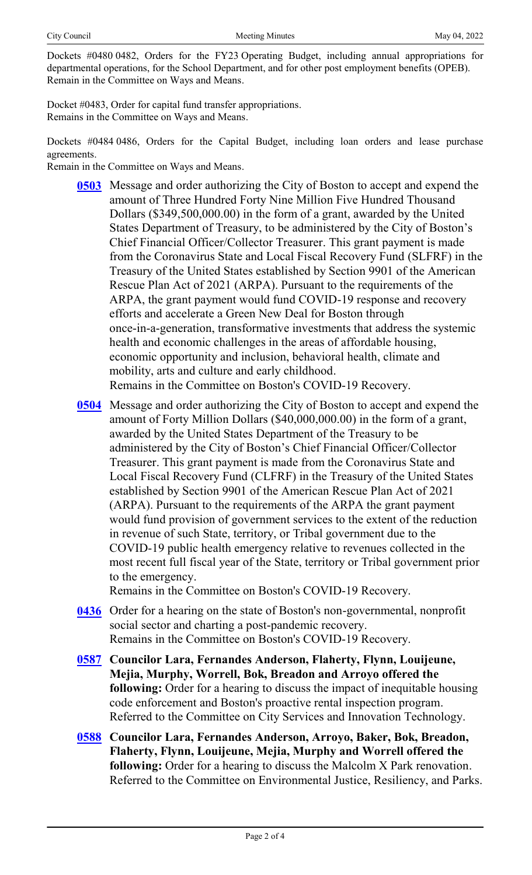Dockets #0480 0482, Orders for the FY23 Operating Budget, including annual appropriations for departmental operations, for the School Department, and for other post employment benefits (OPEB). Remain in the Committee on Ways and Means.

Docket #0483, Order for capital fund transfer appropriations. Remains in the Committee on Ways and Means.

Dockets #0484 0486, Orders for the Capital Budget, including loan orders and lease purchase agreements.

Remain in the Committee on Ways and Means.

- **[0503](http://boston.legistar.com/gateway.aspx?m=l&id=/matter.aspx?key=5629)** Message and order authorizing the City of Boston to accept and expend the amount of Three Hundred Forty Nine Million Five Hundred Thousand Dollars (\$349,500,000.00) in the form of a grant, awarded by the United States Department of Treasury, to be administered by the City of Boston's Chief Financial Officer/Collector Treasurer. This grant payment is made from the Coronavirus State and Local Fiscal Recovery Fund (SLFRF) in the Treasury of the United States established by Section 9901 of the American Rescue Plan Act of 2021 (ARPA). Pursuant to the requirements of the ARPA, the grant payment would fund COVID-19 response and recovery efforts and accelerate a Green New Deal for Boston through once-in-a-generation, transformative investments that address the systemic health and economic challenges in the areas of affordable housing, economic opportunity and inclusion, behavioral health, climate and mobility, arts and culture and early childhood. Remains in the Committee on Boston's COVID-19 Recovery.
- **[0504](http://boston.legistar.com/gateway.aspx?m=l&id=/matter.aspx?key=5606)** Message and order authorizing the City of Boston to accept and expend the amount of Forty Million Dollars (\$40,000,000.00) in the form of a grant, awarded by the United States Department of the Treasury to be administered by the City of Boston's Chief Financial Officer/Collector Treasurer. This grant payment is made from the Coronavirus State and Local Fiscal Recovery Fund (CLFRF) in the Treasury of the United States established by Section 9901 of the American Rescue Plan Act of 2021 (ARPA). Pursuant to the requirements of the ARPA the grant payment would fund provision of government services to the extent of the reduction in revenue of such State, territory, or Tribal government due to the COVID-19 public health emergency relative to revenues collected in the most recent full fiscal year of the State, territory or Tribal government prior to the emergency.

Remains in the Committee on Boston's COVID-19 Recovery.

- **[0436](http://boston.legistar.com/gateway.aspx?m=l&id=/matter.aspx?key=5538)** Order for a hearing on the state of Boston's non-governmental, nonprofit social sector and charting a post-pandemic recovery. Remains in the Committee on Boston's COVID-19 Recovery.
- **[0587](http://boston.legistar.com/gateway.aspx?m=l&id=/matter.aspx?key=5714) Councilor Lara, Fernandes Anderson, Flaherty, Flynn, Louijeune, Mejia, Murphy, Worrell, Bok, Breadon and Arroyo offered the following:** Order for a hearing to discuss the impact of inequitable housing code enforcement and Boston's proactive rental inspection program. Referred to the Committee on City Services and Innovation Technology.
- **[0588](http://boston.legistar.com/gateway.aspx?m=l&id=/matter.aspx?key=5723) Councilor Lara, Fernandes Anderson, Arroyo, Baker, Bok, Breadon, Flaherty, Flynn, Louijeune, Mejia, Murphy and Worrell offered the following:** Order for a hearing to discuss the Malcolm X Park renovation. Referred to the Committee on Environmental Justice, Resiliency, and Parks.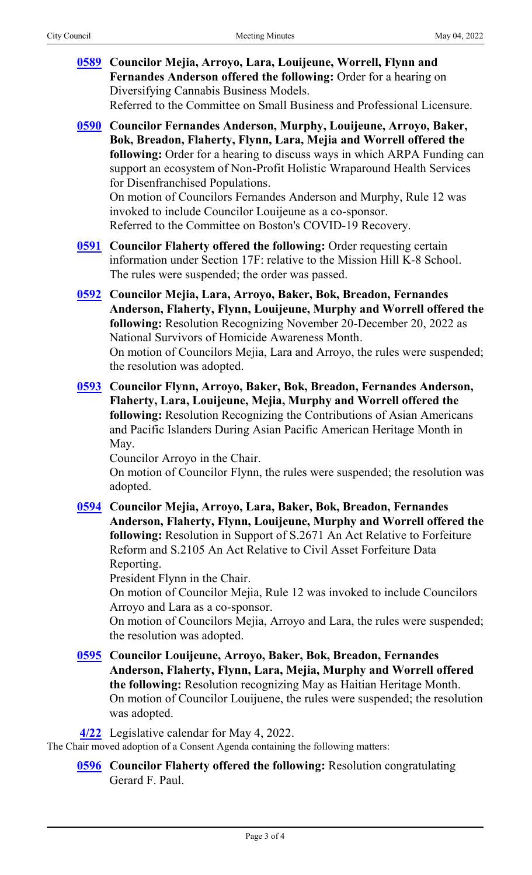| 0589 Councilor Mejia, Arroyo, Lara, Louijeune, Worrell, Flynn and<br>Fernandes Anderson offered the following: Order for a hearing on<br>Diversifying Cannabis Business Models.<br>Referred to the Committee on Small Business and Professional Licensure.                                                                                                                                                                                                                                                                                                           |
|----------------------------------------------------------------------------------------------------------------------------------------------------------------------------------------------------------------------------------------------------------------------------------------------------------------------------------------------------------------------------------------------------------------------------------------------------------------------------------------------------------------------------------------------------------------------|
| 0590 Councilor Fernandes Anderson, Murphy, Louijeune, Arroyo, Baker,<br>Bok, Breadon, Flaherty, Flynn, Lara, Mejia and Worrell offered the<br>following: Order for a hearing to discuss ways in which ARPA Funding can<br>support an ecosystem of Non-Profit Holistic Wraparound Health Services<br>for Disenfranchised Populations.<br>On motion of Councilors Fernandes Anderson and Murphy, Rule 12 was<br>invoked to include Councilor Louijeune as a co-sponsor.<br>Referred to the Committee on Boston's COVID-19 Recovery.                                    |
| <b>0591</b> Councilor Flaherty offered the following: Order requesting certain<br>information under Section 17F: relative to the Mission Hill K-8 School.<br>The rules were suspended; the order was passed.                                                                                                                                                                                                                                                                                                                                                         |
| 0592 Councilor Mejia, Lara, Arroyo, Baker, Bok, Breadon, Fernandes<br>Anderson, Flaherty, Flynn, Louijeune, Murphy and Worrell offered the<br>following: Resolution Recognizing November 20-December 20, 2022 as<br>National Survivors of Homicide Awareness Month.<br>On motion of Councilors Mejia, Lara and Arroyo, the rules were suspended;<br>the resolution was adopted.                                                                                                                                                                                      |
| 0593 Councilor Flynn, Arroyo, Baker, Bok, Breadon, Fernandes Anderson,<br>Flaherty, Lara, Louijeune, Mejia, Murphy and Worrell offered the<br>following: Resolution Recognizing the Contributions of Asian Americans<br>and Pacific Islanders During Asian Pacific American Heritage Month in<br>May.<br>Councilor Arroyo in the Chair.<br>On motion of Councilor Flynn, the rules were suspended; the resolution was<br>adopted.                                                                                                                                    |
| 0594 Councilor Mejia, Arroyo, Lara, Baker, Bok, Breadon, Fernandes<br>Anderson, Flaherty, Flynn, Louijeune, Murphy and Worrell offered the<br>following: Resolution in Support of S.2671 An Act Relative to Forfeiture<br>Reform and S.2105 An Act Relative to Civil Asset Forfeiture Data<br>Reporting.<br>President Flynn in the Chair.<br>On motion of Councilor Mejia, Rule 12 was invoked to include Councilors<br>Arroyo and Lara as a co-sponsor.<br>On motion of Councilors Mejia, Arroyo and Lara, the rules were suspended;<br>the resolution was adopted. |
| 0595 Councilor Louijeune, Arroyo, Baker, Bok, Breadon, Fernandes<br>Anderson, Flaherty, Flynn, Lara, Mejia, Murphy and Worrell offered<br>the following: Resolution recognizing May as Haitian Heritage Month.<br>On motion of Councilor Louijuene, the rules were suspended; the resolution<br>was adopted.                                                                                                                                                                                                                                                         |
| 4/22 Legislative calendar for May 4, 2022.<br>The Chair moved adoption of a Consent Agenda containing the following matters:                                                                                                                                                                                                                                                                                                                                                                                                                                         |
| <b>0596</b> Councilor Flaherty offered the following: Resolution congratulating<br>Gerard F. Paul.                                                                                                                                                                                                                                                                                                                                                                                                                                                                   |
|                                                                                                                                                                                                                                                                                                                                                                                                                                                                                                                                                                      |